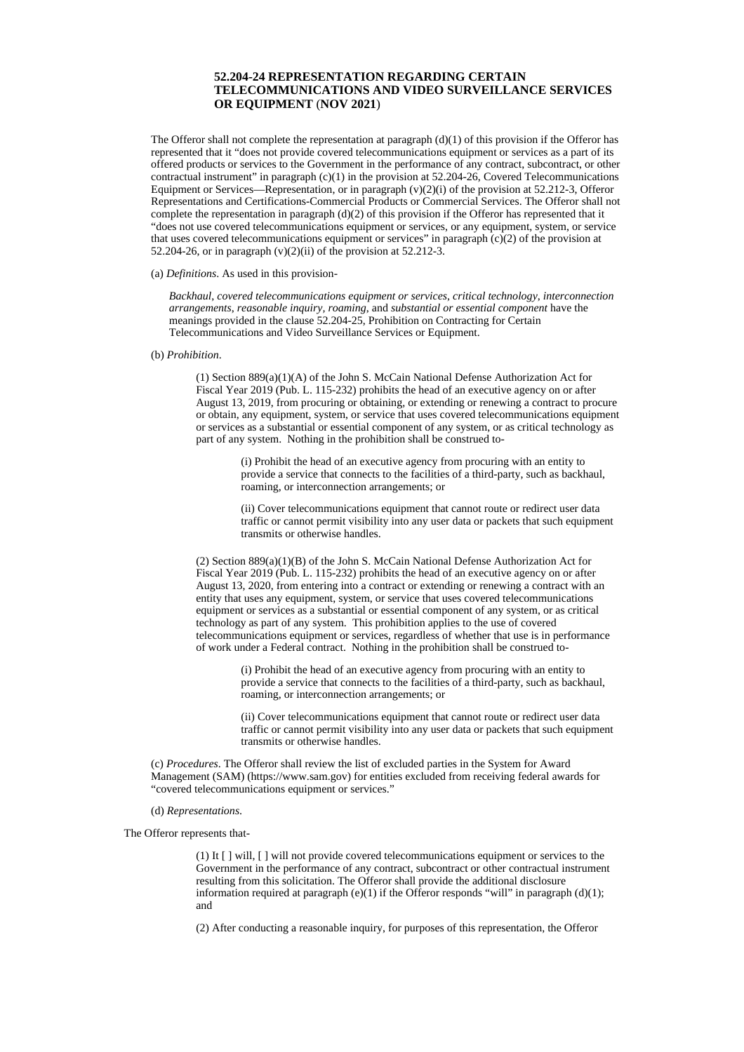# **52.204-24 REPRESENTATION REGARDING CERTAIN TELECOMMUNICATIONS AND VIDEO SURVEILLANCE SERVICES OR EQUIPMENT** (**NOV 2021**)

The Offeror shall not complete the representation at paragraph  $(d)(1)$  of this provision if the Offeror has represented that it "does not provide covered telecommunications equipment or services as a part of its offered products or services to the Government in the performance of any contract, subcontract, or other contractual instrument" in paragraph (c)(1) in the provision at 52.204-26, Covered Telecommunications Equipment or Services—Representation, or in paragraph  $(v)(2)(i)$  of the provision at 52.212-3, Offeror Representations and Certifications-Commercial Products or Commercial Services. The Offeror shall not complete the representation in paragraph  $(d)(2)$  of this provision if the Offeror has represented that it "does not use covered telecommunications equipment or services, or any equipment, system, or service that uses covered telecommunications equipment or services" in paragraph  $(c)(2)$  of the provision at 52.204-26, or in paragraph (v)(2)(ii) of the provision at 52.212-3.

### (a) *Definitions*. As used in this provision-

*Backhaul*, *covered telecommunications equipment or services*, *critical technology*, *interconnection arrangements*, *reasonable inquiry, roaming*, and *substantial or essential component* have the meanings provided in the clause 52.204-25, Prohibition on Contracting for Certain Telecommunications and Video Surveillance Services or Equipment.

## (b) *Prohibition*.

(1) Section 889(a)(1)(A) of the John S. McCain National Defense Authorization Act for Fiscal Year 2019 (Pub. L. 115-232) prohibits the head of an executive agency on or after August 13, 2019, from procuring or obtaining, or extending or renewing a contract to procure or obtain, any equipment, system, or service that uses covered telecommunications equipment or services as a substantial or essential component of any system, or as critical technology as part of any system. Nothing in the prohibition shall be construed to-

> (i) Prohibit the head of an executive agency from procuring with an entity to provide a service that connects to the facilities of a third-party, such as backhaul, roaming, or interconnection arrangements; or

(ii) Cover telecommunications equipment that cannot route or redirect user data traffic or cannot permit visibility into any user data or packets that such equipment transmits or otherwise handles.

(2) Section 889(a)(1)(B) of the John S. McCain National Defense Authorization Act for Fiscal Year 2019 (Pub. L. 115-232) prohibits the head of an executive agency on or after August 13, 2020, from entering into a contract or extending or renewing a contract with an entity that uses any equipment, system, or service that uses covered telecommunications equipment or services as a substantial or essential component of any system, or as critical technology as part of any system. This prohibition applies to the use of covered telecommunications equipment or services, regardless of whether that use is in performance of work under a Federal contract. Nothing in the prohibition shall be construed to-

> (i) Prohibit the head of an executive agency from procuring with an entity to provide a service that connects to the facilities of a third-party, such as backhaul, roaming, or interconnection arrangements; or

(ii) Cover telecommunications equipment that cannot route or redirect user data traffic or cannot permit visibility into any user data or packets that such equipment transmits or otherwise handles.

(c) *Procedures*. The Offeror shall review the list of excluded parties in the System for Award Management (SAM) (https://www.sam.gov) for entities excluded from receiving federal awards for "covered telecommunications equipment or services."

## (d) *Representations*.

The Offeror represents that-

(1) It [ ] will, [ ] will not provide covered telecommunications equipment or services to the Government in the performance of any contract, subcontract or other contractual instrument resulting from this solicitation. The Offeror shall provide the additional disclosure information required at paragraph  $(e)(1)$  if the Offeror responds "will" in paragraph  $(d)(1)$ ; and

(2) After conducting a reasonable inquiry, for purposes of this representation, the Offeror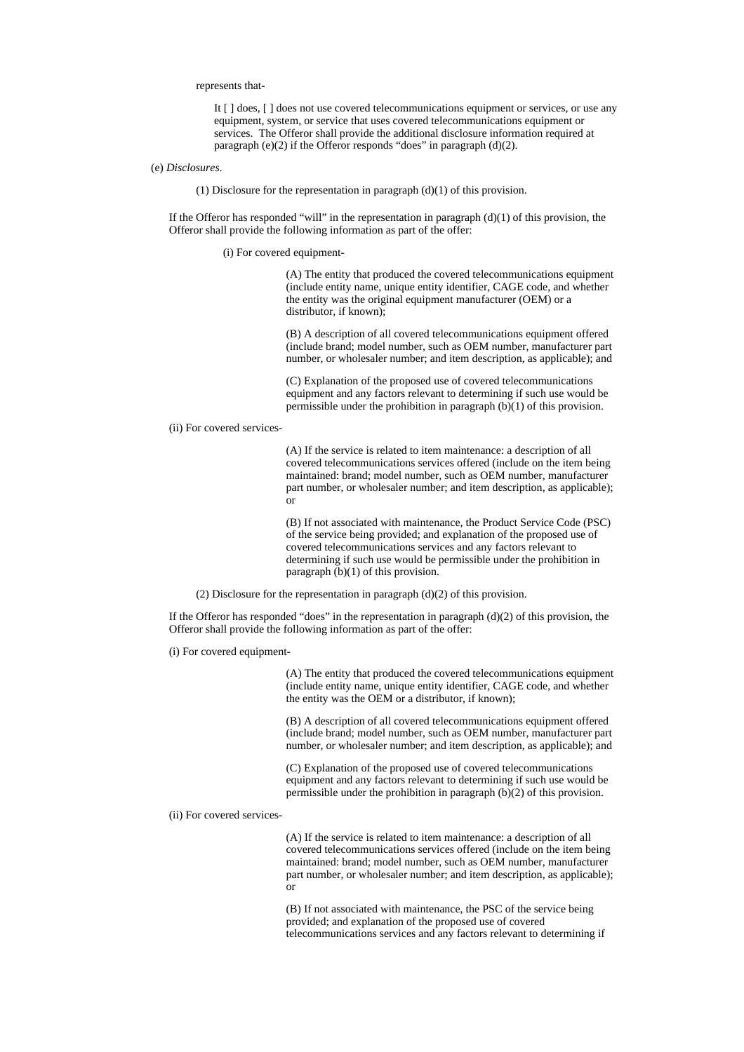represents that-

It [ ] does, [ ] does not use covered telecommunications equipment or services, or use any equipment, system, or service that uses covered telecommunications equipment or services. The Offeror shall provide the additional disclosure information required at paragraph (e)(2) if the Offeror responds "does" in paragraph (d)(2).

#### (e) *Disclosures*.

(1) Disclosure for the representation in paragraph  $(d)(1)$  of this provision.

If the Offeror has responded "will" in the representation in paragraph  $(d)(1)$  of this provision, the Offeror shall provide the following information as part of the offer:

(i) For covered equipment-

(A) The entity that produced the covered telecommunications equipment (include entity name, unique entity identifier, CAGE code, and whether the entity was the original equipment manufacturer (OEM) or a distributor, if known);

(B) A description of all covered telecommunications equipment offered (include brand; model number, such as OEM number, manufacturer part number, or wholesaler number; and item description, as applicable); and

(C) Explanation of the proposed use of covered telecommunications equipment and any factors relevant to determining if such use would be permissible under the prohibition in paragraph (b)(1) of this provision.

#### (ii) For covered services-

(A) If the service is related to item maintenance: a description of all covered telecommunications services offered (include on the item being maintained: brand; model number, such as OEM number, manufacturer part number, or wholesaler number; and item description, as applicable); or

(B) If not associated with maintenance, the Product Service Code (PSC) of the service being provided; and explanation of the proposed use of covered telecommunications services and any factors relevant to determining if such use would be permissible under the prohibition in paragraph (b)(1) of this provision.

(2) Disclosure for the representation in paragraph  $(d)(2)$  of this provision.

If the Offeror has responded "does" in the representation in paragraph  $(d)(2)$  of this provision, the Offeror shall provide the following information as part of the offer:

(i) For covered equipment-

(A) The entity that produced the covered telecommunications equipment (include entity name, unique entity identifier, CAGE code, and whether the entity was the OEM or a distributor, if known);

(B) A description of all covered telecommunications equipment offered (include brand; model number, such as OEM number, manufacturer part number, or wholesaler number; and item description, as applicable); and

(C) Explanation of the proposed use of covered telecommunications equipment and any factors relevant to determining if such use would be permissible under the prohibition in paragraph (b)(2) of this provision.

## (ii) For covered services-

(A) If the service is related to item maintenance: a description of all covered telecommunications services offered (include on the item being maintained: brand; model number, such as OEM number, manufacturer part number, or wholesaler number; and item description, as applicable); or

(B) If not associated with maintenance, the PSC of the service being provided; and explanation of the proposed use of covered telecommunications services and any factors relevant to determining if